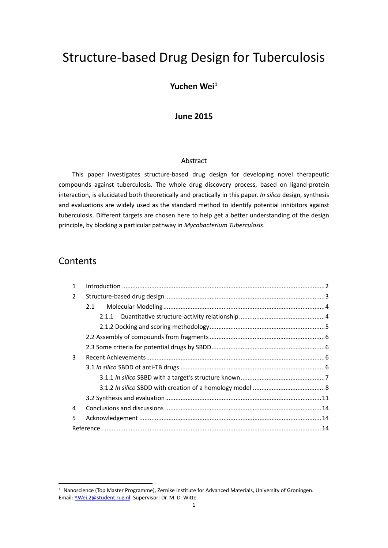# Structure‐based Drug Design for Tuberculosis

#### **Yuchen Wei1**

#### **June 2015**

#### Abstract

This paper investigates structure‐based drug design for developing novel therapeutic compounds against tuberculosis. The whole drug discovery process, based on ligand‐protein interaction, is elucidated both theoretically and practically in this paper. *In silico* design, synthesis and evaluations are widely used as the standard method to identify potential inhibitors against tuberculosis. Different targets are chosen here to help get a better understanding of the design principle, by blocking a particular pathway in *Mycobacterium Tuberculosis*.

### **Contents**

| 1 |     |  |
|---|-----|--|
| 2 |     |  |
|   | 2.1 |  |
|   |     |  |
|   |     |  |
|   |     |  |
|   |     |  |
| 3 |     |  |
|   |     |  |
|   |     |  |
|   |     |  |
|   |     |  |
| 4 |     |  |
| 5 |     |  |
|   |     |  |

 $1$  Nanoscience (Top Master Programme), Zernike Institute for Advanced Materials, University of Groningen. Email: Y.Wei.2@student.rug.nl. Supervisor: Dr. M. D. Witte.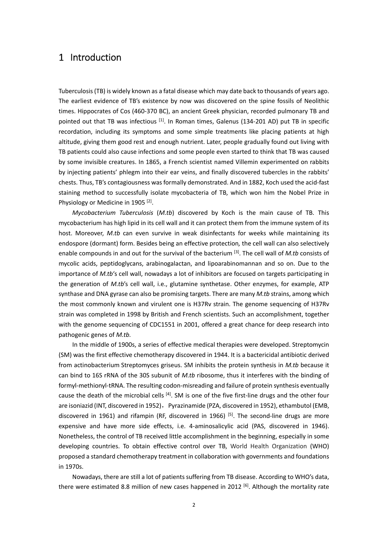### 1 Introduction

Tuberculosis(TB) is widely known as a fatal disease which may date back to thousands of years ago. The earliest evidence of TB's existence by now was discovered on the spine fossils of Neolithic times. Hippocrates of Cos (460‐370 BC), an ancient Greek physician, recorded pulmonary TB and pointed out that TB was infectious  $^{[1]}$ . In Roman times, Galenus (134-201 AD) put TB in specific recordation, including its symptoms and some simple treatments like placing patients at high altitude, giving them good rest and enough nutrient. Later, people gradually found out living with TB patients could also cause infections and some people even started to think that TB was caused by some invisible creatures. In 1865, a French scientist named Villemin experimented on rabbits by injecting patients' phlegm into their ear veins, and finally discovered tubercles in the rabbits' chests. Thus, TB's contagiousness wasformally demonstrated. And in 1882, Koch used the acid‐fast staining method to successfully isolate mycobacteria of TB, which won him the Nobel Prize in Physiology or Medicine in 1905<sup>[2]</sup>.

*Mycobacterium Tuberculosis* (*M.tb*) discovered by Koch is the main cause of TB. This mycobacterium has high lipid in its cell wall and it can protect them from the immune system of its host. Moreover, *M.tb* can even survive in weak disinfectants for weeks while maintaining its endospore (dormant) form. Besides being an effective protection*,* the cell wall can also selectively enable compounds in and out for the survival of the bacterium [3]. The cell wall of *M.tb* consists of mycolic acids, peptidoglycans, arabinogalactan, and lipoarabinomannan and so on. Due to the importance of *M.tb*'s cell wall, nowadays a lot of inhibitors are focused on targets participating in the generation of *M.tb*'s cell wall, i.e., glutamine synthetase. Other enzymes, for example, ATP synthase and DNA gyrase can also be promising targets. There are many *M.tb* strains, among which the most commonly known and virulent one is H37Rv strain. The genome sequencing of H37Rv strain was completed in 1998 by British and French scientists. Such an accomplishment, together with the genome sequencing of CDC1551 in 2001, offered a great chance for deep research into pathogenic genes of *M.tb.*

In the middle of 1900s, a series of effective medical therapies were developed. Streptomycin (SM) was the first effective chemotherapy discovered in 1944. It is a bactericidal antibiotic derived from actinobacterium Streptomyces griseus. SM inhibits the protein synthesis in *M.tb* because it can bind to 16S rRNA of the 30S subunit of *M.tb* ribosome, thus it interferes with the binding of formyl-methionyl-tRNA. The resulting codon-misreading and failure of protein synthesis eventually cause the death of the microbial cells  $^{[4]}$ . SM is one of the five first-line drugs and the other four are isoniazid (INT, discovered in 1952), Pyrazinamide (PZA, discovered in 1952), ethambutol (EMB, discovered in 1961) and rifampin (RF, discovered in 1966)  $[5]$ . The second-line drugs are more expensive and have more side effects, i.e. 4‐aminosalicylic acid (PAS, discovered in 1946). Nonetheless, the control of TB received little accomplishment in the beginning, especially in some developing countries. To obtain effective control over TB, World Health Organization (WHO) proposed a standard chemotherapy treatment in collaboration with governments and foundations in 1970s.

Nowadays, there are still a lot of patients suffering from TB disease. According to WHO's data, there were estimated 8.8 million of new cases happened in 2012 <sup>[6]</sup>. Although the mortality rate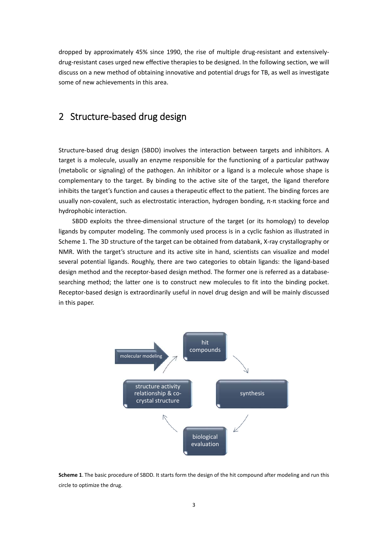dropped by approximately 45% since 1990, the rise of multiple drug-resistant and extensivelydrug-resistant cases urged new effective therapies to be designed. In the following section, we will discuss on a new method of obtaining innovative and potential drugs for TB, as well as investigate some of new achievements in this area.

### 2 Structure‐based drug design

Structure‐based drug design (SBDD) involves the interaction between targets and inhibitors. A target is a molecule, usually an enzyme responsible for the functioning of a particular pathway (metabolic or signaling) of the pathogen. An inhibitor or a ligand is a molecule whose shape is complementary to the target. By binding to the active site of the target, the ligand therefore inhibits the target's function and causes a therapeutic effect to the patient. The binding forces are usually non-covalent, such as electrostatic interaction, hydrogen bonding, π-π stacking force and hydrophobic interaction.

SBDD exploits the three-dimensional structure of the target (or its homology) to develop ligands by computer modeling. The commonly used process is in a cyclic fashion as illustrated in Scheme 1. The 3D structure of the target can be obtained from databank, X-ray crystallography or NMR. With the target's structure and its active site in hand, scientists can visualize and model several potential ligands. Roughly, there are two categories to obtain ligands: the ligand-based design method and the receptor‐based design method. The former one is referred as a database‐ searching method; the latter one is to construct new molecules to fit into the binding pocket. Receptor‐based design is extraordinarily useful in novel drug design and will be mainly discussed in this paper.



**Scheme 1**. The basic procedure of SBDD. It starts form the design of the hit compound after modeling and run this circle to optimize the drug.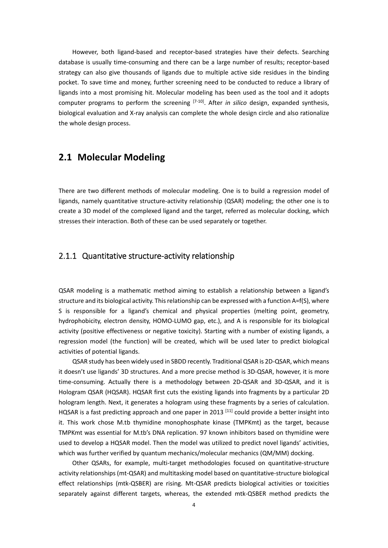However, both ligand‐based and receptor‐based strategies have their defects. Searching database is usually time‐consuming and there can be a large number of results; receptor‐based strategy can also give thousands of ligands due to multiple active side residues in the binding pocket. To save time and money, further screening need to be conducted to reduce a library of ligands into a most promising hit. Molecular modeling has been used as the tool and it adopts computer programs to perform the screening <sup>[7-10]</sup>. After *in silico* design, expanded synthesis, biological evaluation and X‐ray analysis can complete the whole design circle and also rationalize the whole design process.

#### **2.1 Molecular Modeling**

There are two different methods of molecular modeling. One is to build a regression model of ligands, namely quantitative structure‐activity relationship (QSAR) modeling; the other one is to create a 3D model of the complexed ligand and the target, referred as molecular docking, which stresses their interaction. Both of these can be used separately or together.

#### 2.1.1 Quantitative structure-activity relationship

QSAR modeling is a mathematic method aiming to establish a relationship between a ligand's structure and its biological activity. Thisrelationship can be expressed with a function A=f(S), where S is responsible for a ligand's chemical and physical properties (melting point, geometry, hydrophobicity, electron density, HOMO‐LUMO gap, etc.), and A is responsible for its biological activity (positive effectiveness or negative toxicity). Starting with a number of existing ligands, a regression model (the function) will be created, which will be used later to predict biological activities of potential ligands.

QSAR study has been widely used in SBDD recently. Traditional QSAR is 2D‐QSAR, which means it doesn't use ligands' 3D structures. And a more precise method is 3D‐QSAR, however, it is more time-consuming. Actually there is a methodology between 2D-QSAR and 3D-QSAR, and it is Hologram QSAR (HQSAR). HQSAR first cuts the existing ligands into fragments by a particular 2D hologram length. Next, it generates a hologram using these fragments by a series of calculation. HQSAR is a fast predicting approach and one paper in 2013<sup>[11]</sup> could provide a better insight into it. This work chose M.tb thymidine monophosphate kinase (TMPKmt) as the target, because TMPKmt was essential for M.tb's DNA replication. 97 known inhibitors based on thymidine were used to develop a HQSAR model. Then the model was utilized to predict novel ligands' activities, which was further verified by quantum mechanics/molecular mechanics (QM/MM) docking.

Other QSARs, for example, multi‐target methodologies focused on quantitative‐structure activity relationships (mt‐QSAR) and multitasking model based on quantitative‐structure biological effect relationships (mtk‐QSBER) are rising. Mt‐QSAR predicts biological activities or toxicities separately against different targets, whereas, the extended mtk‐QSBER method predicts the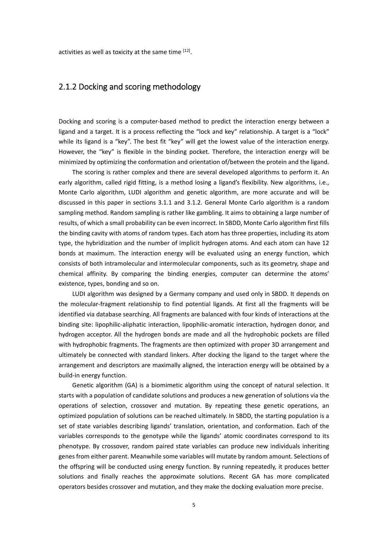#### 2.1.2 Docking and scoring methodology

Docking and scoring is a computer‐based method to predict the interaction energy between a ligand and a target. It is a process reflecting the "lock and key" relationship. A target is a "lock" while its ligand is a "key". The best fit "key" will get the lowest value of the interaction energy. However, the "key" is flexible in the binding pocket. Therefore, the interaction energy will be minimized by optimizing the conformation and orientation of/between the protein and the ligand.

The scoring is rather complex and there are several developed algorithms to perform it. An early algorithm, called rigid fitting, is a method losing a ligand's flexibility. New algorithms, i.e., Monte Carlo algorithm, LUDI algorithm and genetic algorithm, are more accurate and will be discussed in this paper in sections 3.1.1 and 3.1.2. General Monte Carlo algorithm is a random sampling method. Random sampling is rather like gambling. It aims to obtaining a large number of results, of which a small probability can be even incorrect. In SBDD, Monte Carlo algorithm first fills the binding cavity with atoms of random types. Each atom has three properties, including its atom type, the hybridization and the number of implicit hydrogen atoms. And each atom can have 12 bonds at maximum. The interaction energy will be evaluated using an energy function, which consists of both intramolecular and intermolecular components, such as its geometry, shape and chemical affinity. By comparing the binding energies, computer can determine the atoms' existence, types, bonding and so on.

LUDI algorithm was designed by a Germany company and used only in SBDD. It depends on the molecular‐fragment relationship to find potential ligands. At first all the fragments will be identified via database searching. All fragments are balanced with four kinds of interactions at the binding site: lipophilic-aliphatic interaction, lipophilic-aromatic interaction, hydrogen donor, and hydrogen acceptor. All the hydrogen bonds are made and all the hydrophobic pockets are filled with hydrophobic fragments. The fragments are then optimized with proper 3D arrangement and ultimately be connected with standard linkers. After docking the ligand to the target where the arrangement and descriptors are maximally aligned, the interaction energy will be obtained by a build‐in energy function.

Genetic algorithm (GA) is a biomimetic algorithm using the concept of natural selection. It starts with a population of candidate solutions and produces a new generation of solutions via the operations of selection, crossover and mutation. By repeating these genetic operations, an optimized population of solutions can be reached ultimately. In SBDD, the starting population is a set of state variables describing ligands' translation, orientation, and conformation. Each of the variables corresponds to the genotype while the ligands' atomic coordinates correspond to its phenotype. By crossover, random paired state variables can produce new individuals inheriting genes from either parent. Meanwhile some variables will mutate by random amount. Selections of the offspring will be conducted using energy function. By running repeatedly, it produces better solutions and finally reaches the approximate solutions. Recent GA has more complicated operators besides crossover and mutation, and they make the docking evaluation more precise.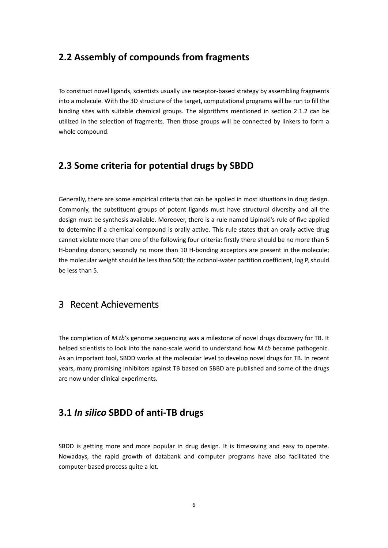### **2.2 Assembly of compounds from fragments**

To construct novel ligands, scientists usually use receptor‐based strategy by assembling fragments into a molecule. With the 3D structure of the target, computational programs will be run to fill the binding sites with suitable chemical groups. The algorithms mentioned in section 2.1.2 can be utilized in the selection of fragments. Then those groups will be connected by linkers to form a whole compound.

#### **2.3 Some criteria for potential drugs by SBDD**

Generally, there are some empirical criteria that can be applied in most situations in drug design. Commonly, the substituent groups of potent ligands must have structural diversity and all the design must be synthesis available. Moreover, there is a rule named Lipinski's rule of five applied to determine if a chemical compound is orally active. This rule states that an orally active drug cannot violate more than one of the following four criteria: firstly there should be no more than 5 H-bonding donors; secondly no more than 10 H-bonding acceptors are present in the molecule; the molecular weight should be less than 500; the octanol-water partition coefficient, log P, should be less than 5.

### 3 Recent Achievements

The completion of *M.tb*'s genome sequencing was a milestone of novel drugs discovery for TB. It helped scientists to look into the nano-scale world to understand how *M.tb* became pathogenic. As an important tool, SBDD works at the molecular level to develop novel drugs for TB. In recent years, many promising inhibitors against TB based on SBBD are published and some of the drugs are now under clinical experiments.

### **3.1** *In silico* **SBDD of anti‐TB drugs**

SBDD is getting more and more popular in drug design. It is timesaving and easy to operate. Nowadays, the rapid growth of databank and computer programs have also facilitated the computer‐based process quite a lot.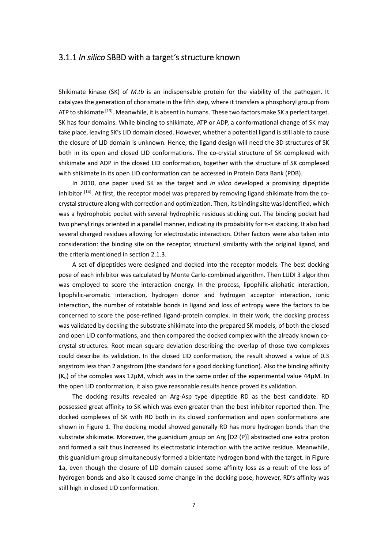#### 3.1.1 *In silico* SBBD with a target's structure known

Shikimate kinase (SK) of *M.tb* is an indispensable protein for the viability of the pathogen. It catalyzes the generation of chorismate in the fifth step, where it transfers a phosphoryl group from ATP to shikimate <sup>[13]</sup>. Meanwhile, it is absent in humans. These two factors make SK a perfect target. SK has four domains. While binding to shikimate, ATP or ADP, a conformational change of SK may take place, leaving SK's LID domain closed. However, whether a potential ligand isstill able to cause the closure of LID domain is unknown. Hence, the ligand design will need the 3D structures of SK both in its open and closed LID conformations. The co-crystal structure of SK complexed with shikimate and ADP in the closed LID conformation, together with the structure of SK complexed with shikimate in its open LID conformation can be accessed in Protein Data Bank (PDB).

In 2010, one paper used SK as the target and *in silico* developed a promising dipeptide inhibitor [14]. At first, the receptor model was prepared by removing ligand shikimate from the cocrystal structure along with correction and optimization. Then, its binding site was identified, which was a hydrophobic pocket with several hydrophilic residues sticking out. The binding pocket had two phenyl rings oriented in a parallel manner, indicating its probability for π‐π stacking. It also had several charged residues allowing for electrostatic interaction. Other factors were also taken into consideration: the binding site on the receptor, structural similarity with the original ligand, and the criteria mentioned in section 2.1.3.

A set of dipeptides were designed and docked into the receptor models. The best docking pose of each inhibitor was calculated by Monte Carlo‐combined algorithm. Then LUDI 3 algorithm was employed to score the interaction energy. In the process, lipophilic-aliphatic interaction, lipophilic-aromatic interaction, hydrogen donor and hydrogen acceptor interaction, ionic interaction, the number of rotatable bonds in ligand and loss of entropy were the factors to be concerned to score the pose-refined ligand-protein complex. In their work, the docking process was validated by docking the substrate shikimate into the prepared SK models, of both the closed and open LID conformations, and then compared the docked complex with the already known cocrystal structures. Root mean square deviation describing the overlap of those two complexes could describe its validation. In the closed LID conformation, the result showed a value of 0.3 angstrom less than 2 angstrom (the standard for a good docking function). Also the binding affinity  $(K_d)$  of the complex was 12 $\mu$ M, which was in the same order of the experimental value 44 $\mu$ M. In the open LID conformation, it also gave reasonable results hence proved its validation.

The docking results revealed an Arg‐Asp type dipeptide RD as the best candidate. RD possessed great affinity to SK which was even greater than the best inhibitor reported then. The docked complexes of SK with RD both in its closed conformation and open conformations are shown in Figure 1. The docking model showed generally RD has more hydrogen bonds than the substrate shikimate. Moreover, the guanidium group on Arg [D2 (P)] abstracted one extra proton and formed a salt thus increased its electrostatic interaction with the active residue. Meanwhile, this guanidium group simultaneously formed a bidentate hydrogen bond with the target. In Figure 1a, even though the closure of LID domain caused some affinity loss as a result of the loss of hydrogen bonds and also it caused some change in the docking pose, however, RD's affinity was still high in closed LID conformation.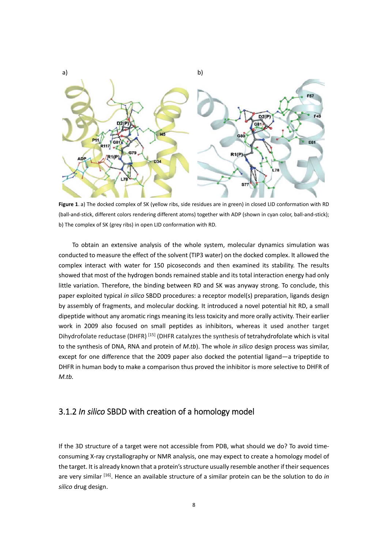

**Figure 1**. a) The docked complex of SK (yellow ribs, side residues are in green) in closed LID conformation with RD (ball‐and‐stick, different colors rendering different atoms) together with ADP (shown in cyan color, ball‐and‐stick); b) The complex of SK (grey ribs) in open LID conformation with RD.

To obtain an extensive analysis of the whole system, molecular dynamics simulation was conducted to measure the effect of the solvent (TIP3 water) on the docked complex. It allowed the complex interact with water for 150 picoseconds and then examined its stability. The results showed that most of the hydrogen bonds remained stable and its total interaction energy had only little variation. Therefore, the binding between RD and SK was anyway strong. To conclude, this paper exploited typical *in silico* SBDD procedures: a receptor model(s) preparation, ligands design by assembly of fragments, and molecular docking. It introduced a novel potential hit RD, a small dipeptide without any aromatic rings meaning its less toxicity and more orally activity. Their earlier work in 2009 also focused on small peptides as inhibitors, whereas it used another target Dihydrofolate reductase (DHFR) [15] (DHFR catalyzes the synthesis of tetrahydrofolate which is vital to the synthesis of DNA, RNA and protein of *M.tb*). The whole *in silico* design process was similar, except for one difference that the 2009 paper also docked the potential ligand—a tripeptide to DHFR in human body to make a comparison thus proved the inhibitor is more selective to DHFR of  $M.th.$ 

#### 3.1.2 *In silico* SBDD with creation of a homology model

If the 3D structure of a target were not accessible from PDB, what should we do? To avoid time‐ consuming X-ray crystallography or NMR analysis, one may expect to create a homology model of the target. It is already known that a protein's structure usually resemble another if their sequences are very similar [16]. Hence an available structure of a similar protein can be the solution to do *in silico* drug design.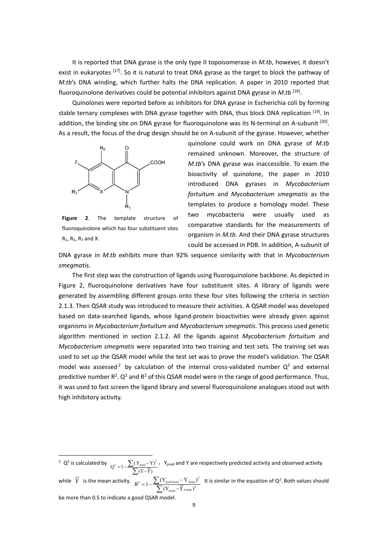It is reported that DNA gyrase is the only type II topoisomerase in *M.tb*, however, it doesn't exist in eukaryotes [17]. So it is natural to treat DNA gyrase as the target to block the pathway of *M.tb*'s DNA winding, which further halts the DNA replication. A paper in 2010 reported that fluoroquinolone derivatives could be potential inhibitors against DNA gyrase in *M.tb* [18].

Quinolones were reported before as inhibitors for DNA gyrase in Escherichia coli by forming stable ternary complexes with DNA gyrase together with DNA, thus block DNA replication [19]. In addition, the binding site on DNA gyrase for fluoroquinolone was its N-terminal on A-subunit [20]. As a result, the focus of the drug design should be on A‐subunit of the gyrase. However, whether



**Figure 2**. The template structure of fluoroquinolone which has four substituent sites  $R_1$ ,  $R_5$ ,  $R_7$  and X.

quinolone could work on DNA gyrase of *M.tb* remained unknown. Moreover, the structure of *M.tb*'s DNA gyrase was inaccessible. To exam the bioactivity of quinolone, the paper in 2010 introduced DNA gyrases in *Mycobacterium fortuitum* and *Mycobacterium smegmatis* as the templates to produce a homology model. These two mycobacteria were usually used as comparative standards for the measurements of organism in *M.tb*. And their DNA gyrase structures could be accessed in PDB. In addition, A‐subunit of

DNA gyrase in *M.tb* exhibits more than 92% sequence similarity with that in *Mycobacterium smegmatis*.

The first step was the construction of ligands using fluoroquinolone backbone. As depicted in Figure 2, fluoroquinolone derivatives have four substituent sites. A library of ligands were generated by assembling different groups onto these four sites following the criteria in section 2.1.3. Then QSAR study was introduced to measure their activities. A QSAR model was developed based on data‐searched ligands, whose ligand‐protein bioactivities were already given against organisms in *Mycobacterium fortuitum* and *Mycobacterium smegmatis*. This process used genetic algorithm mentioned in section 2.1.2. All the ligands against *Mycobacterium fortuitum* and *Mycobacterium smegmatis* were separated into two training and test sets*.* The training set was used to set up the QSAR model while the test set was to prove the model's validation. The QSAR model was assessed<sup>2</sup> by calculation of the internal cross-validated number  $Q^2$  and external predictive number  $R^2$ .  $Q^2$  and  $R^2$  of this QSAR model were in the range of good performance. Thus, it was used to fast screen the ligand library and several fluoroquinolone analogues stood out with high inhibitory activity.

 <sup>2</sup> Q<sup>2</sup> is calculated by  $Q^2 = 1 - \frac{\sum (Y_{pred} - Y)^2}{\sum (Y - \overline{Y})}$  $\sum$ ,Ypred and Y are respectively predicted activity and observed activity while  $\overline{Y}$  is the mean activity.  $R^2 = 1 - \frac{\sum (Y_{pred(\text{test})} - Y_{(\text{test})})^2}{\sum (Y_{(\text{test})} - \overline{Y}_{ranging})^2}$  $1-\frac{\sum(Y_{pred(\text{test})}-Y_{\text{ (test)}})}{\sum(Y_{\text{test}}-\overline{Y}_{\text{triangle}})^2}$ *pred*  $R^2 = 1 - \frac{\sum (Y_{pred \text{(test)}} - Y_{\text{(tot)}})}{\sum (Y_{\text{(test)}} - \overline{Y}_{\text{training}})}$ Σ It is similar in the equation of  $Q^2$ . Both values should be more than 0.5 to indicate a good QSAR model.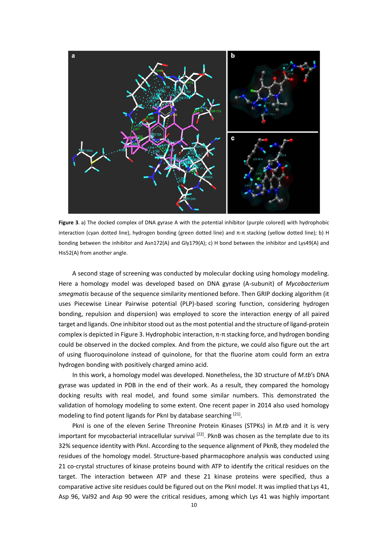

**Figure 3**. a) The docked complex of DNA gyrase A with the potential inhibitor (purple colored) with hydrophobic interaction (cyan dotted line), hydrogen bonding (green dotted line) and π-π stacking (yellow dotted line); b) H bonding between the inhibitor and Asn172(A) and Gly179(A); c) H bond between the inhibitor and Lys49(A) and His52(A) from another angle.

A second stage of screening was conducted by molecular docking using homology modeling. Here a homology model was developed based on DNA gyrase (A‐subunit) of *Mycobacterium smegmatis* because of the sequence similarity mentioned before. Then GRIP docking algorithm (it uses Piecewise Linear Pairwise potential (PLP)‐based scoring function, considering hydrogen bonding, repulsion and dispersion) was employed to score the interaction energy of all paired target and ligands. One inhibitor stood out as the most potential and the structure of ligand-protein complex is depicted in Figure 3. Hydrophobic interaction, π‐π stacking force, and hydrogen bonding could be observed in the docked complex. And from the picture, we could also figure out the art of using fluoroquinolone instead of quinolone, for that the fluorine atom could form an extra hydrogen bonding with positively charged amino acid.

In this work, a homology model was developed. Nonetheless, the 3D structure of *M.tb*'s DNA gyrase was updated in PDB in the end of their work. As a result, they compared the homology docking results with real model, and found some similar numbers. This demonstrated the validation of homology modeling to some extent. One recent paper in 2014 also used homology modeling to find potent ligands for PknI by database searching [21].

PknI is one of the eleven Serine Threonine Protein Kinases (STPKs) in *M.tb* and it is very important for mycobacterial intracellular survival  $[22]$ . PknB was chosen as the template due to its 32% sequence identity with PknI. According to the sequence alignment of PknB, they modeled the residues of the homology model. Structure‐based pharmacophore analysis was conducted using 21 co-crystal structures of kinase proteins bound with ATP to identify the critical residues on the target. The interaction between ATP and these 21 kinase proteins were specified, thus a comparative active site residues could be figured out on the Pknl model. It was implied that Lys 41, Asp 96, Val92 and Asp 90 were the critical residues, among which Lys 41 was highly important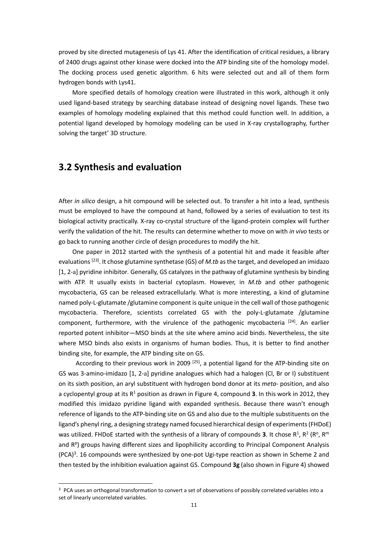proved by site directed mutagenesis of Lys 41. After the identification of critical residues, a library of 2400 drugs against other kinase were docked into the ATP binding site of the homology model. The docking process used genetic algorithm. 6 hits were selected out and all of them form hydrogen bonds with Lys41.

More specified details of homology creation were illustrated in this work, although it only used ligand‐based strategy by searching database instead of designing novel ligands. These two examples of homology modeling explained that this method could function well. In addition, a potential ligand developed by homology modeling can be used in X‐ray crystallography, further solving the target' 3D structure.

#### **3.2 Synthesis and evaluation**

After *in silico* design, a hit compound will be selected out. To transfer a hit into a lead, synthesis must be employed to have the compound at hand, followed by a series of evaluation to test its biological activity practically. X‐ray co‐crystal structure of the ligand‐protein complex will further verify the validation of the hit. The results can determine whether to move on with *in vivo* tests or go back to running another circle of design procedures to modify the hit.

One paper in 2012 started with the synthesis of a potential hit and made it feasible after evaluations<sup>[23]</sup>. It chose glutamine synthetase (GS) of *M.tb* as the target, and developed an imidazo [1, 2‐a] pyridine inhibitor*.* Generally, GS catalyzes in the pathway of glutamine synthesis by binding with ATP. It usually exists in bacterial cytoplasm. However, in *M.tb* and other pathogenic mycobacteria, GS can be released extracellularly. What is more interesting, a kind of glutamine named poly-L-glutamate /glutamine component is quite unique in the cell wall of those pathogenic mycobacteria. Therefore, scientists correlated GS with the poly‐L‐glutamate /glutamine component, furthermore, with the virulence of the pathogenic mycobacteria [24]. An earlier reported potent inhibitor―MSO binds at the site where amino acid binds. Nevertheless, the site where MSO binds also exists in organisms of human bodies. Thus, it is better to find another binding site, for example, the ATP binding site on GS.

According to their previous work in 2009  $[25]$ , a potential ligand for the ATP-binding site on GS was 3‐amino‐imidazo [1, 2‐a] pyridine analogues which had a halogen (Cl, Br or I) substituent on its sixth position, an aryl substituent with hydrogen bond donor at its *meta‐* position, and also a cyclopentyl group at its  $R<sup>1</sup>$  position as drawn in Figure 4, compound **3**. In this work in 2012, they modified this imidazo pyridine ligand with expanded synthesis. Because there wasn't enough reference of ligands to the ATP‐binding site on GS and also due to the multiple substituents on the ligand's phenyl ring, a designing strategy named focused hierarchical design of experiments(FHDoE) was utilized. FHDoE started with the synthesis of a library of compounds **3**. It chose  $R^1$ ,  $R^2$  ( $R^0$ ,  $R^m$ and  $R<sup>p</sup>$ ) groups having different sizes and lipophilicity according to Principal Component Analysis  $(PCA)<sup>3</sup>$ . 16 compounds were synthesized by one-pot Ugi-type reaction as shown in Scheme 2 and then tested by the inhibition evaluation against GS. Compound **3g** (also shown in Figure 4) showed

<sup>&</sup>lt;sup>3</sup> PCA uses an orthogonal transformation to convert a set of observations of possibly correlated variables into a set of linearly uncorrelated variables.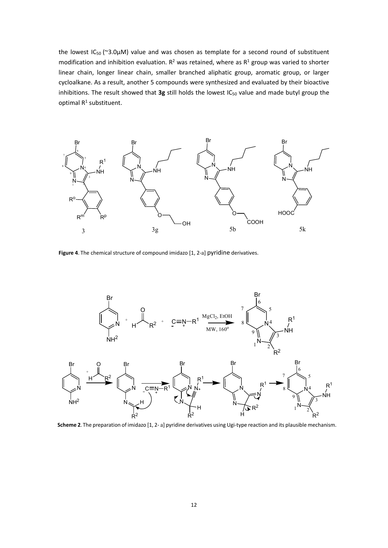the lowest  $IC_{50}$  (~3.0 $µ$ M) value and was chosen as template for a second round of substituent modification and inhibition evaluation.  $R^2$  was retained, where as  $R^1$  group was varied to shorter linear chain, longer linear chain, smaller branched aliphatic group, aromatic group, or larger cycloalkane. As a result, another 5 compounds were synthesized and evaluated by their bioactive inhibitions. The result showed that 3g still holds the lowest IC<sub>50</sub> value and made butyl group the optimal R<sup>1</sup> substituent.



**Figure 4**. The chemical structure of compound imidazo [1, 2‐a] pyridine derivatives.



**Scheme 2**. The preparation of imidazo [1, 2‐ a] pyridine derivatives using Ugi‐type reaction and its plausible mechanism.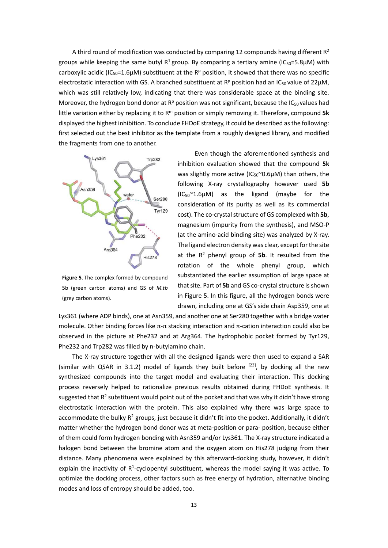A third round of modification was conducted by comparing 12 compounds having different  $R^2$ groups while keeping the same butyl  $R^1$  group. By comparing a tertiary amine (IC<sub>50</sub>=5.8µM) with carboxylic acidic (IC<sub>50</sub>=1.6µM) substituent at the R<sup>p</sup> position, it showed that there was no specific electrostatic interaction with GS. A branched substituent at  $R<sup>p</sup>$  position had an IC<sub>50</sub> value of 22 $\mu$ M, which was still relatively low, indicating that there was considerable space at the binding site. Moreover, the hydrogen bond donor at  $R<sup>p</sup>$  position was not significant, because the IC<sub>50</sub> values had little variation either by replacing it to Rm position or simply removing it. Therefore, compound **5k** displayed the highest inhibition. To conclude FHDoE strategy, it could be described asthe following: first selected out the best inhibitor as the template from a roughly designed library, and modified the fragments from one to another.



**Figure 5**. The complex formed by compound 5b (green carbon atoms) and GS of *M.tb* (grey carbon atoms).

Even though the aforementioned synthesis and inhibition evaluation showed that the compound **5k** was slightly more active ( $IC_{50}^{\sim}$ 0.6 $\mu$ M) than others, the following X‐ray crystallography however used **5b**  $(IC_{50}^{\sim}1.6\mu M)$  as the ligand (maybe for the consideration of its purity as well as its commercial cost). The co-crystal structure of GS complexed with 5b, magnesium (impurity from the synthesis), and MSO‐P (at the amino‐acid binding site) was analyzed by X‐ray. The ligand electron density was clear, except for the site at the  $R^2$  phenyl group of **5b**. It resulted from the rotation of the whole phenyl group, which substantiated the earlier assumption of large space at that site. Part of 5b and GS co-crystal structure is shown in Figure 5. In this figure, all the hydrogen bonds were drawn, including one at GS's side chain Asp359, one at

Lys361 (where ADP binds), one at Asn359, and another one at Ser280 together with a bridge water molecule. Other binding forces like π-π stacking interaction and π-cation interaction could also be observed in the picture at Phe232 and at Arg364. The hydrophobic pocket formed by Tyr129, Phe232 and Trp282 was filled by n‐butylamino chain.

The X‐ray structure together with all the designed ligands were then used to expand a SAR (similar with QSAR in 3.1.2) model of ligands they built before  $[23]$ , by docking all the new synthesized compounds into the target model and evaluating their interaction. This docking process reversely helped to rationalize previous results obtained during FHDoE synthesis. It suggested that R<sup>2</sup> substituent would point out of the pocket and that was why it didn't have strong electrostatic interaction with the protein. This also explained why there was large space to accommodate the bulky  $R^2$  groups, just because it didn't fit into the pocket. Additionally, it didn't matter whether the hydrogen bond donor was at meta‐position or para‐ position, because either of them could form hydrogen bonding with Asn359 and/or Lys361. The X‐ray structure indicated a halogen bond between the bromine atom and the oxygen atom on His278 judging from their distance. Many phenomena were explained by this afterward‐docking study, however, it didn't explain the inactivity of  $R^1$ -cyclopentyl substituent, whereas the model saying it was active. To optimize the docking process, other factors such as free energy of hydration, alternative binding modes and loss of entropy should be added, too.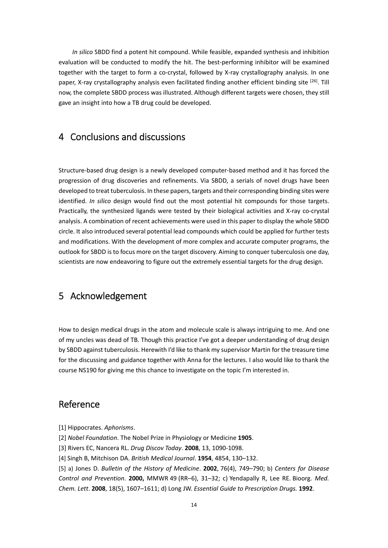*In silico* SBDD find a potent hit compound. While feasible, expanded synthesis and inhibition evaluation will be conducted to modify the hit. The best-performing inhibitor will be examined together with the target to form a co-crystal, followed by X-ray crystallography analysis. In one paper, X-ray crystallography analysis even facilitated finding another efficient binding site <sup>[26]</sup>. Till now, the complete SBDD process was illustrated. Although different targets were chosen, they still gave an insight into how a TB drug could be developed.

#### 4 Conclusions and discussions

Structure‐based drug design is a newly developed computer‐based method and it has forced the progression of drug discoveries and refinements. Via SBDD, a serials of novel drugs have been developed to treat tuberculosis. In these papers, targets and their corresponding binding sites were identified. *In silico* design would find out the most potential hit compounds for those targets. Practically, the synthesized ligands were tested by their biological activities and X-ray co-crystal analysis. A combination of recent achievements were used in this paper to display the whole SBDD circle. It also introduced several potential lead compounds which could be applied for further tests and modifications. With the development of more complex and accurate computer programs, the outlook for SBDD is to focus more on the target discovery. Aiming to conquer tuberculosis one day, scientists are now endeavoring to figure out the extremely essential targets for the drug design.

## 5 Acknowledgement

How to design medical drugs in the atom and molecule scale is always intriguing to me. And one of my uncles was dead of TB. Though this practice I've got a deeper understanding of drug design by SBDD against tuberculosis. Herewith I'd like to thank my supervisor Martin for the treasure time for the discussing and guidance together with Anna for the lectures. I also would like to thank the course NS190 for giving me this chance to investigate on the topic I'm interested in.

### Reference

[1] Hippocrates. *Aphorisms*.

- [2] *Nobel Foundation*. The Nobel Prize in Physiology or Medicine **1905**.
- [3] Rivers EC, Nancera RL. *Drug Discov Today*. **2008**, 13, 1090‐1098.
- [4] Singh B, Mitchison DA. *British Medical Journal*. **1954**, 4854, 130–132.

[5] a) Jones D. *Bulletin of the History of Medicine*. **2002**, 76(4), 749–790; b) *Centers for Disease Control and Prevention*. **2000,** MMWR 49 (RR–6), 31–32; c) Yendapally R, Lee RE. Bioorg. *Med. Chem. Lett*. **2008**, 18(5), 1607–1611; d) Long JW. *Essential Guide to Prescription Drugs.* **1992**.